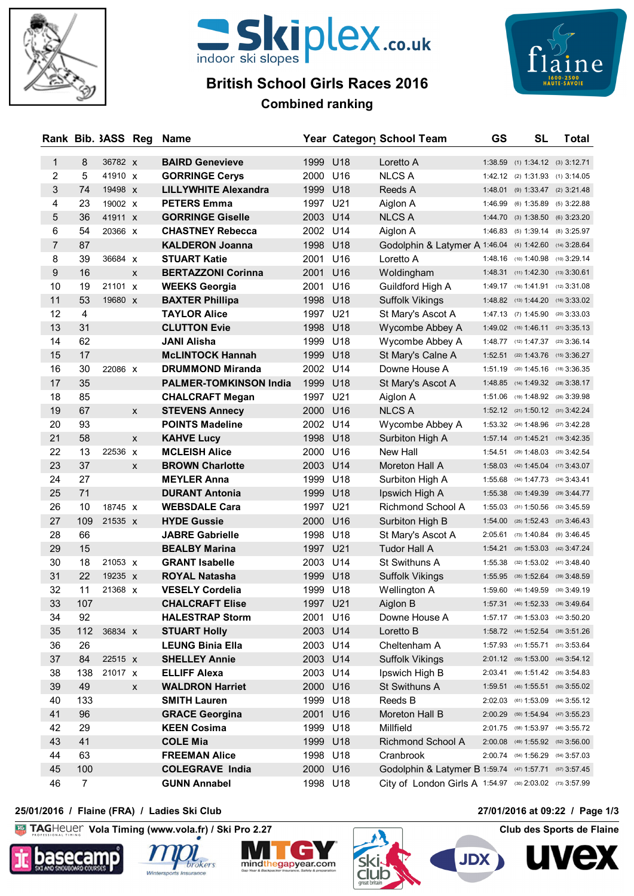



# **British School Girls Races 2016**



## **Combined ranking**

|                |                | Rank Bib. 3ASS Reg |   | Name                                         |              |                        | Year Category School Team                                | GS | <b>SL</b>                                                             | <b>Total</b> |
|----------------|----------------|--------------------|---|----------------------------------------------|--------------|------------------------|----------------------------------------------------------|----|-----------------------------------------------------------------------|--------------|
| 1              | 8              | 36782 X            |   | <b>BAIRD Genevieve</b>                       | 1999         | U18                    | Loretto A                                                |    | 1:38.59 (1) 1:34.12 (3) 3:12.71                                       |              |
| 2              | 5              | 41910 X            |   | <b>GORRINGE Cerys</b>                        | 2000         | U16                    | <b>NLCS A</b>                                            |    | 1:42.12 (2) 1:31.93 (1) 3:14.05                                       |              |
| 3              | 74             | 19498 x            |   | <b>LILLYWHITE Alexandra</b>                  | 1999 U18     |                        | Reeds A                                                  |    | 1:48.01 (9) 1:33.47 (2) 3:21.48                                       |              |
| 4              | 23             | 19002 x            |   | <b>PETERS Emma</b>                           | 1997         | U21                    | Aiglon A                                                 |    | 1:46.99 (6) 1:35.89 (5) 3:22.88                                       |              |
| 5              | 36             | 41911 x            |   | <b>GORRINGE Giselle</b>                      | 2003 U14     |                        | <b>NLCS A</b>                                            |    | 1:44.70 (3) 1:38.50 (6) 3:23.20                                       |              |
| 6              | 54             | 20366 X            |   | <b>CHASTNEY Rebecca</b>                      | 2002 U14     |                        | Aiglon A                                                 |    | 1:46.83 (5) 1:39.14 (8) 3:25.97                                       |              |
| $\overline{7}$ | 87             |                    |   | <b>KALDERON Joanna</b>                       | 1998 U18     |                        | Godolphin & Latymer A 1:46.04 (4) 1:42.60 (14) 3:28.64   |    |                                                                       |              |
| 8              | 39             | 36684 X            |   | <b>STUART Katie</b>                          | 2001         | U16                    | Loretto A                                                |    | 1:48.16 (10) 1:40.98 (10) 3:29.14                                     |              |
| 9              | 16             |                    | X | <b>BERTAZZONI Corinna</b>                    | 2001         | U <sub>16</sub>        | Woldingham                                               |    | 1:48.31 (11) 1:42.30 (13) 3:30.61                                     |              |
| 10             | 19             | 21101 x            |   | <b>WEEKS Georgia</b>                         | 2001         | U16                    | Guildford High A                                         |    | 1:49.17 (16) 1:41.91 (12) 3:31.08                                     |              |
| 11             | 53             | 19680 x            |   | <b>BAXTER Phillipa</b>                       | 1998         | U18                    | Suffolk Vikings                                          |    | 1:48.82 (13) 1:44.20 (16) 3:33.02                                     |              |
| 12             | 4              |                    |   | <b>TAYLOR Alice</b>                          | 1997 U21     |                        | St Mary's Ascot A                                        |    | 1:47.13 (7) 1:45.90 (20) 3:33.03                                      |              |
| 13             | 31             |                    |   | <b>CLUTTON Evie</b>                          | 1998 U18     |                        | Wycombe Abbey A                                          |    | $1:49.02$ (15) $1:46.11$ (21) $3:35.13$                               |              |
| 14             | 62             |                    |   | <b>JANI Alisha</b>                           | 1999         | U18                    | Wycombe Abbey A                                          |    | 1:48.77 (12) 1:47.37 (23) 3:36.14                                     |              |
| 15             | 17             |                    |   | <b>McLINTOCK Hannah</b>                      | 1999         | U18                    | St Mary's Calne A                                        |    | $1:52.51$ (22) $1:43.76$ (15) $3:36.27$                               |              |
| 16             | 30             | 22086 x            |   | <b>DRUMMOND Miranda</b>                      | 2002 U14     |                        | Downe House A                                            |    | 1:51.19 (20) 1:45.16 (18) 3:36.35                                     |              |
| 17             | 35             |                    |   | <b>PALMER-TOMKINSON India</b>                | 1999         | U18                    | St Mary's Ascot A                                        |    | 1:48.85 (14) 1:49.32 (28) 3:38.17                                     |              |
| 18             | 85             |                    |   | <b>CHALCRAFT Megan</b>                       | 1997 U21     |                        | Aiglon A                                                 |    | 1:51.06 (19) 1:48.92 (26) 3:39.98                                     |              |
| 19             | 67             |                    | X | <b>STEVENS Annecy</b>                        | 2000 U16     |                        | <b>NLCS A</b>                                            |    | 1:52.12 (21) 1:50.12 (31) 3:42.24                                     |              |
| 20             | 93             |                    |   | <b>POINTS Madeline</b>                       | 2002         | U14                    | Wycombe Abbey A                                          |    | 1:53.32 (24) 1:48.96 (27) 3:42.28                                     |              |
| 21             | 58             |                    | X | <b>KAHVE Lucy</b>                            | 1998         | U18                    | Surbiton High A                                          |    | $1:57.14$ (37) $1:45.21$ (19) $3:42.35$                               |              |
| 22             | 13             | 22536 x            |   | <b>MCLEISH Alice</b>                         | 2000         | U16                    | New Hall                                                 |    | 1:54.51 (29) 1:48.03 (25) 3:42.54                                     |              |
| 23             | 37             |                    | X | <b>BROWN Charlotte</b>                       | 2003         | U14                    | Moreton Hall A                                           |    | 1:58.03 (42) 1:45.04 (17) 3:43.07                                     |              |
| 24             | 27             |                    |   | <b>MEYLER Anna</b>                           | 1999         | U18                    | Surbiton High A                                          |    | 1:55.68 (34) 1:47.73 (24) 3:43.41                                     |              |
| 25             | 71             |                    |   | <b>DURANT Antonia</b>                        | 1999         | U18                    | Ipswich High A                                           |    | $1:55.38$ (32) $1:49.39$ (29) $3:44.77$                               |              |
| 26             | 10             | 18745 X            |   | <b>WEBSDALE Cara</b>                         | 1997         | U21                    | Richmond School A                                        |    | 1:55.03 (31) 1:50.56 (32) 3:45.59                                     |              |
| 27<br>28       | 109<br>66      | 21535 x            |   | <b>HYDE Gussie</b><br><b>JABRE Gabrielle</b> | 2000<br>1998 | U <sub>16</sub><br>U18 | Surbiton High B                                          |    | $1:54.00$ (25) $1:52.43$ (37) $3:46.43$                               |              |
| 29             | 15             |                    |   | <b>BEALBY Marina</b>                         | 1997         | U <sub>21</sub>        | St Mary's Ascot A<br><b>Tudor Hall A</b>                 |    | 2:05.61 (73) 1:40.84 (9) 3:46.45<br>1:54.21 (26) 1:53.03 (42) 3:47.24 |              |
| 30             | 18             | 21053 x            |   | <b>GRANT Isabelle</b>                        | 2003         | U14                    | St Swithuns A                                            |    | 1:55.38 (32) 1:53.02 (41) 3:48.40                                     |              |
| 31             | 22             | 19235 X            |   | <b>ROYAL Natasha</b>                         | 1999 U18     |                        | <b>Suffolk Vikings</b>                                   |    | 1:55.95 (35) 1:52.64 (39) 3:48.59                                     |              |
| 32             | 11             | 21368 X            |   | <b>VESELY Cordelia</b>                       | 1999         | U18                    | Wellington A                                             |    | 1:59.60 (46) 1:49.59 (30) 3:49.19                                     |              |
| 33             | 107            |                    |   | <b>CHALCRAFT Elise</b>                       | 1997 U21     |                        | Aiglon B                                                 |    | 1:57.31 (40) 1:52.33 (36) 3:49.64                                     |              |
| 34             | 92             |                    |   | <b>HALESTRAP Storm</b>                       | 2001 U16     |                        | Downe House A                                            |    | 1:57.17 (38) 1:53.03 (42) 3:50.20                                     |              |
| 35             | 112            | 36834 X            |   | <b>STUART Holly</b>                          | 2003 U14     |                        | Loretto B                                                |    | $1:58.72$ (44) $1:52.54$ (38) $3:51.26$                               |              |
| 36             | 26             |                    |   | <b>LEUNG Binia Ella</b>                      | 2003 U14     |                        | Cheltenham A                                             |    | 1:57.93 (41) 1:55.71 (51) 3:53.64                                     |              |
| 37             | 84             | 22515 x            |   | <b>SHELLEY Annie</b>                         | 2003 U14     |                        | <b>Suffolk Vikings</b>                                   |    | 2:01.12 (55) 1:53.00 (40) 3:54.12                                     |              |
| 38             | 138            | 21017 x            |   | <b>ELLIFF Alexa</b>                          | 2003 U14     |                        | Ipswich High B                                           |    | 2:03.41 (66) 1:51.42 (35) 3:54.83                                     |              |
| 39             | 49             |                    | X | <b>WALDRON Harriet</b>                       | 2000 U16     |                        | St Swithuns A                                            |    | $1:59.51$ (45) $1:55.51$ (50) $3:55.02$                               |              |
| 40             | 133            |                    |   | <b>SMITH Lauren</b>                          | 1999 U18     |                        | Reeds B                                                  |    | 2:02.03 (61) 1:53.09 (44) 3:55.12                                     |              |
| 41             | 96             |                    |   | <b>GRACE Georgina</b>                        | 2001 U16     |                        | Moreton Hall B                                           |    | 2:00.29 (50) 1:54.94 (47) 3:55.23                                     |              |
| 42             | 29             |                    |   | <b>KEEN Cosima</b>                           | 1999 U18     |                        | Millfield                                                |    | 2:01.75 (58) 1:53.97 (46) 3:55.72                                     |              |
| 43             | 41             |                    |   | <b>COLE Mia</b>                              | 1999 U18     |                        | Richmond School A                                        |    | 2:00.08 (49) 1:55.92 (52) 3:56.00                                     |              |
| 44             | 63             |                    |   | <b>FREEMAN Alice</b>                         | 1998 U18     |                        | Cranbrook                                                |    | 2:00.74 (54) 1:56.29 (54) 3:57.03                                     |              |
| 45             | 100            |                    |   | <b>COLEGRAVE India</b>                       | 2000 U16     |                        | Godolphin & Latymer B 1:59.74 (47) 1:57.71 (57) 3:57.45  |    |                                                                       |              |
| 46             | $\overline{7}$ |                    |   | <b>GUNN Annabel</b>                          | 1998 U18     |                        | City of London Girls A 1:54.97 (30) 2:03.02 (73) 3:57.99 |    |                                                                       |              |
|                |                |                    |   |                                              |              |                        |                                                          |    |                                                                       |              |

#### **25/01/2016 / Flaine (FRA) / Ladies Ski Club 27/01/2016 at 09:22 / Page 1/3**

 $K<sub>G</sub>$ **Vola Timing (www.vola.fr) / Ski Pro 2.27 Club des Sports de Flaine**







**Club** 



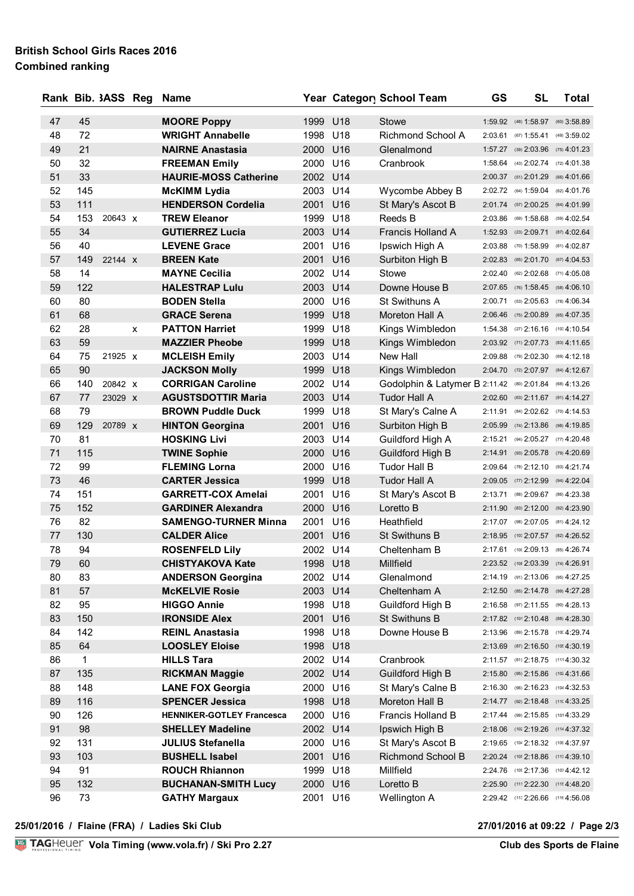### **British School Girls Races 2016 Combined ranking**

|    |              | Rank Bib. 3ASS Reg |   | <b>Name</b>                                   |          |     | Year Category School Team                               | GS | <b>SL</b>                                                              | <b>Total</b> |
|----|--------------|--------------------|---|-----------------------------------------------|----------|-----|---------------------------------------------------------|----|------------------------------------------------------------------------|--------------|
| 47 | 45           |                    |   |                                               | 1999 U18 |     | Stowe                                                   |    |                                                                        |              |
| 48 | 72           |                    |   | <b>MOORE Poppy</b><br><b>WRIGHT Annabelle</b> | 1998     | U18 | Richmond School A                                       |    | 1:59.92 (48) 1:58.97 (60) 3:58.89<br>2:03.61 (67) 1:55.41 (49) 3:59.02 |              |
| 49 | 21           |                    |   | <b>NAIRNE Anastasia</b>                       | 2000 U16 |     | Glenalmond                                              |    | 1:57.27 (39) 2:03.96 (75) 4:01.23                                      |              |
| 50 | 32           |                    |   | <b>FREEMAN Emily</b>                          | 2000 U16 |     | Cranbrook                                               |    | 1:58.64 (43) 2:02.74 (72) 4:01.38                                      |              |
| 51 | 33           |                    |   | <b>HAURIE-MOSS Catherine</b>                  | 2002 U14 |     |                                                         |    | 2:00.37 (51) 2:01.29 (66) 4:01.66                                      |              |
| 52 | 145          |                    |   | <b>McKIMM Lydia</b>                           | 2003 U14 |     | Wycombe Abbey B                                         |    | 2:02.72 (64) 1:59.04 (62) 4:01.76                                      |              |
| 53 | 111          |                    |   | <b>HENDERSON Cordelia</b>                     | 2001 U16 |     | St Mary's Ascot B                                       |    | 2:01.74 (57) 2:00.25 (64) 4:01.99                                      |              |
| 54 | 153          | 20643 x            |   | <b>TREW Eleanor</b>                           | 1999     | U18 | Reeds B                                                 |    | 2:03.86 (69) 1:58.68 (59) 4:02.54                                      |              |
| 55 | 34           |                    |   | <b>GUTIERREZ Lucia</b>                        | 2003 U14 |     | <b>Francis Holland A</b>                                |    | 1:52.93 (23) 2:09.71 (87) 4:02.64                                      |              |
| 56 | 40           |                    |   | <b>LEVENE Grace</b>                           | 2001     | U16 | Ipswich High A                                          |    | 2:03.88 (70) 1:58.99 (61) 4:02.87                                      |              |
| 57 | 149          | 22144 X            |   | <b>BREEN Kate</b>                             | 2001     | U16 | Surbiton High B                                         |    | 2:02.83 (65) 2:01.70 (67) 4:04.53                                      |              |
| 58 | 14           |                    |   | <b>MAYNE Cecilia</b>                          | 2002 U14 |     | Stowe                                                   |    | 2:02.40 (62) 2:02.68 (71) 4:05.08                                      |              |
| 59 | 122          |                    |   | <b>HALESTRAP Lulu</b>                         | 2003 U14 |     | Downe House B                                           |    | 2:07.65 (76) 1:58.45 (58) 4:06.10                                      |              |
| 60 | 80           |                    |   | <b>BODEN Stella</b>                           | 2000     | U16 | St Swithuns A                                           |    | 2:00.71 (53) 2:05.63 (78) 4:06.34                                      |              |
| 61 | 68           |                    |   | <b>GRACE Serena</b>                           | 1999 U18 |     | Moreton Hall A                                          |    | 2:06.46 (75) 2:00.89 (65) 4:07.35                                      |              |
| 62 | 28           |                    | x | <b>PATTON Harriet</b>                         | 1999 U18 |     | Kings Wimbledon                                         |    | 1:54.38 (27) 2:16.16 (103 4:10.54                                      |              |
| 63 | 59           |                    |   | <b>MAZZIER Pheobe</b>                         | 1999     | U18 | Kings Wimbledon                                         |    | 2:03.92 (71) 2:07.73 (83) 4:11.65                                      |              |
| 64 | 75           | 21925 X            |   | <b>MCLEISH Emily</b>                          | 2003 U14 |     | New Hall                                                |    | 2:09.88 (79) 2:02.30 (69) 4:12.18                                      |              |
| 65 | 90           |                    |   | <b>JACKSON Molly</b>                          | 1999 U18 |     | Kings Wimbledon                                         |    | 2:04.70 (72) 2:07.97 (84) 4:12.67                                      |              |
| 66 | 140          | 20842 X            |   | <b>CORRIGAN Caroline</b>                      | 2002 U14 |     | Godolphin & Latymer B 2:11.42 (80) 2:01.84 (68) 4:13.26 |    |                                                                        |              |
| 67 | 77           | 23029 x            |   | <b>AGUSTSDOTTIR Maria</b>                     | 2003 U14 |     | Tudor Hall A                                            |    | 2:02.60 (63) 2:11.67 (91) 4:14.27                                      |              |
| 68 | 79           |                    |   | <b>BROWN Puddle Duck</b>                      | 1999 U18 |     | St Mary's Calne A                                       |    | 2:11.91 (84) 2:02.62 (70) 4:14.53                                      |              |
| 69 | 129          | 20789 x            |   | <b>HINTON Georgina</b>                        | 2001     | U16 | Surbiton High B                                         |    | 2:05.99 (74) 2:13.86 (98) 4:19.85                                      |              |
| 70 | 81           |                    |   | <b>HOSKING Livi</b>                           | 2003 U14 |     | Guildford High A                                        |    | 2:15.21 (94) 2:05.27 (77) 4:20.48                                      |              |
| 71 | 115          |                    |   | <b>TWINE Sophie</b>                           | 2000 U16 |     | Guildford High B                                        |    | 2:14.91 (93) 2:05.78 (79) 4:20.69                                      |              |
| 72 | 99           |                    |   | <b>FLEMING Lorna</b>                          | 2000     | U16 | <b>Tudor Hall B</b>                                     |    | 2:09.64 (78) 2:12.10 (93) 4:21.74                                      |              |
| 73 | 46           |                    |   | <b>CARTER Jessica</b>                         | 1999     | U18 | <b>Tudor Hall A</b>                                     |    | 2:09.05 (77) 2:12.99 (94) 4:22.04                                      |              |
| 74 | 151          |                    |   | <b>GARRETT-COX Amelai</b>                     | 2001     | U16 | St Mary's Ascot B                                       |    | 2:13.71 (88) 2:09.67 (86) 4:23.38                                      |              |
| 75 | 152          |                    |   | <b>GARDINER Alexandra</b>                     | 2000     | U16 | Loretto B                                               |    | 2:11.90 (83) 2:12.00 (92) 4:23.90                                      |              |
| 76 | 82           |                    |   | <b>SAMENGO-TURNER Minna</b>                   | 2001     | U16 | Heathfield                                              |    | 2:17.07 (98) 2:07.05 (81) 4:24.12                                      |              |
| 77 | 130          |                    |   | <b>CALDER Alice</b>                           | 2001 U16 |     | St Swithuns B                                           |    | 2:18.95 (103 2:07.57 (82) 4:26.52                                      |              |
| 78 | 94           |                    |   | <b>ROSENFELD Lily</b>                         | 2002 U14 |     | Cheltenham B                                            |    | 2:17.61 (100 2:09.13 (85) 4:26.74                                      |              |
| 79 | 60           |                    |   | <b>CHISTYAKOVA Kate</b>                       | 1998 U18 |     | Millfield                                               |    | 2:23.52 (108 2:03.39 (74) 4:26.91                                      |              |
| 80 | 83           |                    |   | <b>ANDERSON Georgina</b>                      | 2002 U14 |     | Glenalmond                                              |    | 2:14.19 (91) 2:13.06 (95) 4:27.25                                      |              |
| 81 | 57           |                    |   | <b>McKELVIE Rosie</b>                         | 2003 U14 |     | Cheltenham A                                            |    | 2:12.50 (85) 2:14.78 (99) 4:27.28                                      |              |
| 82 | 95           |                    |   | <b>HIGGO Annie</b>                            | 1998 U18 |     | Guildford High B                                        |    | 2:16.58 (97) 2:11.55 (90) 4:28.13                                      |              |
| 83 | 150          |                    |   | <b>IRONSIDE Alex</b>                          | 2001 U16 |     | St Swithuns B                                           |    | 2:17.82 (101 2:10.48 (88) 4:28.30                                      |              |
| 84 | 142          |                    |   | <b>REINL Anastasia</b>                        | 1998 U18 |     | Downe House B                                           |    | 2:13.96 (89) 2:15.78 (100 4:29.74                                      |              |
| 85 | 64           |                    |   | <b>LOOSLEY Eloise</b>                         | 1998 U18 |     |                                                         |    | 2:13.69 (87) 2:16.50 (105 4:30.19                                      |              |
| 86 | $\mathbf{1}$ |                    |   | <b>HILLS Tara</b>                             | 2002 U14 |     | Cranbrook                                               |    | 2:11.57 (81) 2:18.75 (1114:30.32                                       |              |
| 87 | 135          |                    |   | <b>RICKMAN Maggie</b>                         | 2002 U14 |     | Guildford High B                                        |    | 2:15.80 (95) 2:15.86 (102 4:31.66                                      |              |
| 88 | 148          |                    |   | <b>LANE FOX Georgia</b>                       | 2000 U16 |     | St Mary's Calne B                                       |    | 2:16.30 (96) 2:16.23 (104 4:32.53                                      |              |
| 89 | 116          |                    |   | <b>SPENCER Jessica</b>                        | 1998 U18 |     | Moreton Hall B                                          |    | $2:14.77$ (92) $2:18.48$ (110 4:33.25                                  |              |
| 90 | 126          |                    |   | <b>HENNIKER-GOTLEY Francesca</b>              | 2000 U16 |     | Francis Holland B                                       |    | 2:17.44 (99) 2:15.85 (1014:33.29                                       |              |
| 91 | 98           |                    |   | <b>SHELLEY Madeline</b>                       | 2002 U14 |     | Ipswich High B                                          |    | 2:18.06 (102 2:19.26 (114 4:37.32                                      |              |
| 92 | 131          |                    |   | <b>JULIUS Stefanella</b>                      | 2000 U16 |     | St Mary's Ascot B                                       |    | 2:19.65 (104 2:18.32 (109 4:37.97)                                     |              |
| 93 | 103          |                    |   | <b>BUSHELL Isabel</b>                         | 2001 U16 |     | Richmond School B                                       |    | 2:20.24 (105 2:18.86 (113 4:39.10                                      |              |
| 94 | 91           |                    |   | <b>ROUCH Rhiannon</b>                         | 1999 U18 |     | Millfield                                               |    | 2:24.76 (109 2:17.36 (107 4:42.12                                      |              |
| 95 | 132          |                    |   | <b>BUCHANAN-SMITH Lucy</b>                    | 2000 U16 |     | Loretto B                                               |    | 2:25.90 (111 2:22.30 (115 4:48.20                                      |              |
| 96 | 73           |                    |   | <b>GATHY Margaux</b>                          | 2001 U16 |     | Wellington A                                            |    | 2:29.42 (113 2:26.66 (116 4:56.08                                      |              |

**25/01/2016 / Flaine (FRA) / Ladies Ski Club 27/01/2016 at 09:22 / Page 2/3**